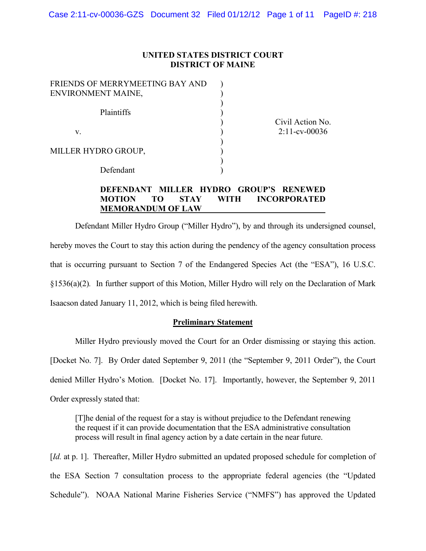### **UNITED STATES DISTRICT COURT DISTRICT OF MAINE**

) ) ) ) ) ) ) ) ) )

| FRIENDS OF MERRYMEETING BAY AND<br>ENVIRONMENT MAINE, |  |  |
|-------------------------------------------------------|--|--|
|                                                       |  |  |
| Plaintiffs                                            |  |  |
| V                                                     |  |  |
| MILLER HYDRO GROUP,                                   |  |  |
| Defendant                                             |  |  |

Civil Action No. 2:11-cv-00036

# **DEFENDANT MILLER HYDRO GROUP'S RENEWED MOTION TO STAY WITH INCORPORATED MEMORANDUM OF LAW**

Defendant Miller Hydro Group ("Miller Hydro"), by and through its undersigned counsel, hereby moves the Court to stay this action during the pendency of the agency consultation process that is occurring pursuant to Section 7 of the Endangered Species Act (the "ESA"), 16 U.S.C. §1536(a)(2)*.* In further support of this Motion, Miller Hydro will rely on the Declaration of Mark Isaacson dated January 11, 2012, which is being filed herewith.

## **Preliminary Statement**

Miller Hydro previously moved the Court for an Order dismissing or staying this action.

[Docket No. 7]. By Order dated September 9, 2011 (the "September 9, 2011 Order"), the Court

denied Miller Hydro's Motion. [Docket No. 17]. Importantly, however, the September 9, 2011

Order expressly stated that:

[T]he denial of the request for a stay is without prejudice to the Defendant renewing the request if it can provide documentation that the ESA administrative consultation process will result in final agency action by a date certain in the near future.

[*Id.* at p. 1]. Thereafter, Miller Hydro submitted an updated proposed schedule for completion of the ESA Section 7 consultation process to the appropriate federal agencies (the "Updated Schedule"). NOAA National Marine Fisheries Service ("NMFS") has approved the Updated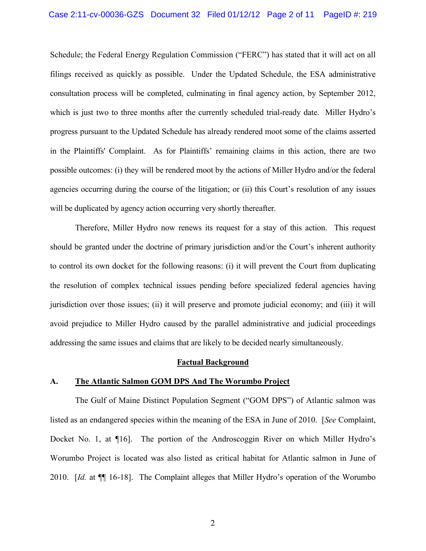# Case 2:11-cv-00036-GZS Document 32 Filed 01/12/12 Page 2 of 11 PageID #: 219

Schedule; the Federal Energy Regulation Commission ("FERC") has stated that it will act on all filings received as quickly as possible. Under the Updated Schedule, the ESA administrative consultation process will be completed, culminating in final agency action, by September 2012, which is just two to three months after the currently scheduled trial-ready date. Miller Hydro's progress pursuant to the Updated Schedule has already rendered moot some of the claims asserted in the Plaintiffs' Complaint. As for Plaintiffs' remaining claims in this action, there are two possible outcomes: (i) they will be rendered moot by the actions of Miller Hydro and/or the federal agencies occurring during the course of the litigation; or (ii) this Court's resolution of any issues will be duplicated by agency action occurring very shortly thereafter.

Therefore, Miller Hydro now renews its request for a stay of this action. This request should be granted under the doctrine of primary jurisdiction and/or the Court's inherent authority to control its own docket for the following reasons: (i) it will prevent the Court from duplicating the resolution of complex technical issues pending before specialized federal agencies having jurisdiction over those issues; (ii) it will preserve and promote judicial economy; and (iii) it will avoid prejudice to Miller Hydro caused by the parallel administrative and judicial proceedings addressing the same issues and claims that are likely to be decided nearly simultaneously.

#### **Factual Background**

#### **A. The Atlantic Salmon GOM DPS And The Worumbo Project**

The Gulf of Maine Distinct Population Segment ("GOM DPS") of Atlantic salmon was listed as an endangered species within the meaning of the ESA in June of 2010. [*See* Complaint, Docket No. 1, at ¶16]. The portion of the Androscoggin River on which Miller Hydro's Worumbo Project is located was also listed as critical habitat for Atlantic salmon in June of 2010. [*Id.* at ¶¶ 16-18]. The Complaint alleges that Miller Hydro's operation of the Worumbo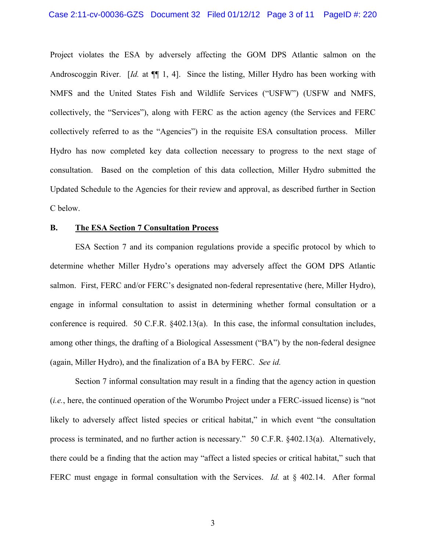Project violates the ESA by adversely affecting the GOM DPS Atlantic salmon on the Androscoggin River. [*Id.* at  $\P$ ], 4]. Since the listing, Miller Hydro has been working with NMFS and the United States Fish and Wildlife Services ("USFW") (USFW and NMFS, collectively, the "Services"), along with FERC as the action agency (the Services and FERC collectively referred to as the "Agencies") in the requisite ESA consultation process. Miller Hydro has now completed key data collection necessary to progress to the next stage of consultation. Based on the completion of this data collection, Miller Hydro submitted the Updated Schedule to the Agencies for their review and approval, as described further in Section C below.

### **B. The ESA Section 7 Consultation Process**

ESA Section 7 and its companion regulations provide a specific protocol by which to determine whether Miller Hydro's operations may adversely affect the GOM DPS Atlantic salmon. First, FERC and/or FERC's designated non-federal representative (here, Miller Hydro), engage in informal consultation to assist in determining whether formal consultation or a conference is required. 50 C.F.R. §402.13(a). In this case, the informal consultation includes, among other things, the drafting of a Biological Assessment ("BA") by the non-federal designee (again, Miller Hydro), and the finalization of a BA by FERC. *See id.*

Section 7 informal consultation may result in a finding that the agency action in question (*i.e.*, here, the continued operation of the Worumbo Project under a FERC-issued license) is "not likely to adversely affect listed species or critical habitat," in which event "the consultation process is terminated, and no further action is necessary." 50 C.F.R. §402.13(a). Alternatively, there could be a finding that the action may "affect a listed species or critical habitat," such that FERC must engage in formal consultation with the Services. *Id.* at § 402.14. After formal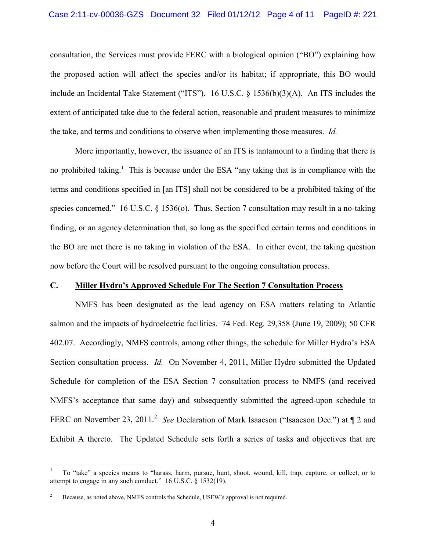consultation, the Services must provide FERC with a biological opinion ("BO") explaining how the proposed action will affect the species and/or its habitat; if appropriate, this BO would include an Incidental Take Statement ("ITS"). 16 U.S.C. § 1536(b)(3)(A). An ITS includes the extent of anticipated take due to the federal action, reasonable and prudent measures to minimize the take, and terms and conditions to observe when implementing those measures. *Id.*

More importantly, however, the issuance of an ITS is tantamount to a finding that there is no prohibited taking.<sup>1</sup> This is because under the ESA "any taking that is in compliance with the terms and conditions specified in [an ITS] shall not be considered to be a prohibited taking of the species concerned." 16 U.S.C. § 1536(o). Thus, Section 7 consultation may result in a no-taking finding, or an agency determination that, so long as the specified certain terms and conditions in the BO are met there is no taking in violation of the ESA. In either event, the taking question now before the Court will be resolved pursuant to the ongoing consultation process.

### **C. Miller Hydro's Approved Schedule For The Section 7 Consultation Process**

NMFS has been designated as the lead agency on ESA matters relating to Atlantic salmon and the impacts of hydroelectric facilities. 74 Fed. Reg. 29,358 (June 19, 2009); 50 CFR 402.07. Accordingly, NMFS controls, among other things, the schedule for Miller Hydro's ESA Section consultation process. *Id.* On November 4, 2011, Miller Hydro submitted the Updated Schedule for completion of the ESA Section 7 consultation process to NMFS (and received NMFS's acceptance that same day) and subsequently submitted the agreed-upon schedule to FERC on November 23, 2011.<sup>2</sup> See Declaration of Mark Isaacson ("Isaacson Dec.") at  $\P$  2 and Exhibit A thereto. The Updated Schedule sets forth a series of tasks and objectives that are

 <sup>1</sup> To "take" a species means to "harass, harm, pursue, hunt, shoot, wound, kill, trap, capture, or collect, or to attempt to engage in any such conduct." 16 U.S.C. § 1532(19).

Because, as noted above, NMFS controls the Schedule, USFW's approval is not required.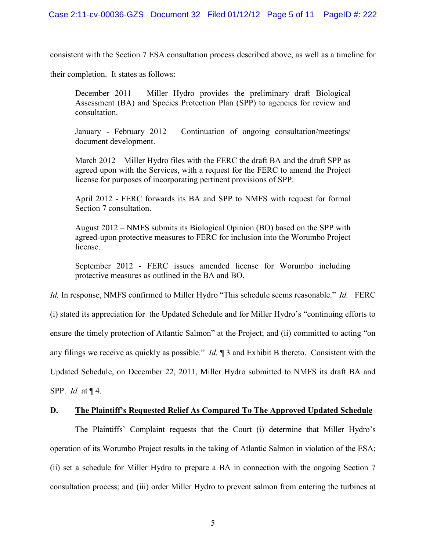consistent with the Section 7 ESA consultation process described above, as well as a timeline for

their completion. It states as follows:

December 2011 – Miller Hydro provides the preliminary draft Biological Assessment (BA) and Species Protection Plan (SPP) to agencies for review and consultation.

January - February 2012 – Continuation of ongoing consultation/meetings/ document development.

March 2012 – Miller Hydro files with the FERC the draft BA and the draft SPP as agreed upon with the Services, with a request for the FERC to amend the Project license for purposes of incorporating pertinent provisions of SPP.

April 2012 - FERC forwards its BA and SPP to NMFS with request for formal Section 7 consultation.

August 2012 – NMFS submits its Biological Opinion (BO) based on the SPP with agreed-upon protective measures to FERC for inclusion into the Worumbo Project license.

September 2012 - FERC issues amended license for Worumbo including protective measures as outlined in the BA and BO.

*Id.* In response, NMFS confirmed to Miller Hydro "This schedule seems reasonable." *Id.* FERC

(i) stated its appreciation for the Updated Schedule and for Miller Hydro's "continuing efforts to ensure the timely protection of Atlantic Salmon" at the Project; and (ii) committed to acting "on any filings we receive as quickly as possible." *Id.* ¶ 3 and Exhibit B thereto. Consistent with the Updated Schedule, on December 22, 2011, Miller Hydro submitted to NMFS its draft BA and SPP. *Id.* at ¶ 4.

## **D. The Plaintiff's Requested Relief As Compared To The Approved Updated Schedule**

The Plaintiffs' Complaint requests that the Court (i) determine that Miller Hydro's operation of its Worumbo Project results in the taking of Atlantic Salmon in violation of the ESA; (ii) set a schedule for Miller Hydro to prepare a BA in connection with the ongoing Section 7 consultation process; and (iii) order Miller Hydro to prevent salmon from entering the turbines at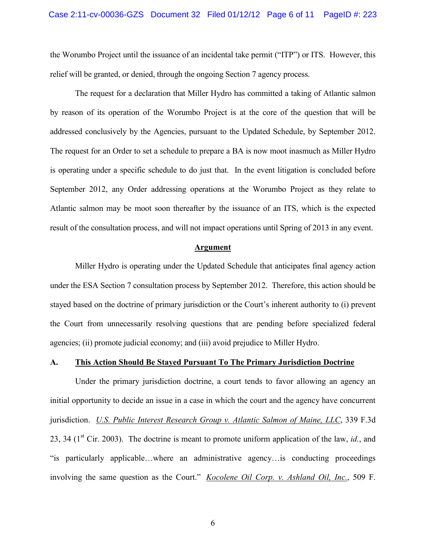the Worumbo Project until the issuance of an incidental take permit ("ITP") or ITS. However, this relief will be granted, or denied, through the ongoing Section 7 agency process.

The request for a declaration that Miller Hydro has committed a taking of Atlantic salmon by reason of its operation of the Worumbo Project is at the core of the question that will be addressed conclusively by the Agencies, pursuant to the Updated Schedule, by September 2012. The request for an Order to set a schedule to prepare a BA is now moot inasmuch as Miller Hydro is operating under a specific schedule to do just that. In the event litigation is concluded before September 2012, any Order addressing operations at the Worumbo Project as they relate to Atlantic salmon may be moot soon thereafter by the issuance of an ITS, which is the expected result of the consultation process, and will not impact operations until Spring of 2013 in any event.

#### **Argument**

Miller Hydro is operating under the Updated Schedule that anticipates final agency action under the ESA Section 7 consultation process by September 2012. Therefore, this action should be stayed based on the doctrine of primary jurisdiction or the Court's inherent authority to (i) prevent the Court from unnecessarily resolving questions that are pending before specialized federal agencies; (ii) promote judicial economy; and (iii) avoid prejudice to Miller Hydro.

### **A. This Action Should Be Stayed Pursuant To The Primary Jurisdiction Doctrine**

Under the primary jurisdiction doctrine, a court tends to favor allowing an agency an initial opportunity to decide an issue in a case in which the court and the agency have concurrent jurisdiction. *U.S. Public Interest Research Group v. Atlantic Salmon of Maine, LLC*, 339 F.3d 23, 34 ( $1<sup>st</sup>$  Cir. 2003). The doctrine is meant to promote uniform application of the law, *id.*, and "is particularly applicable…where an administrative agency…is conducting proceedings involving the same question as the Court." *Kocolene Oil Corp. v. Ashland Oil, Inc.*, 509 F.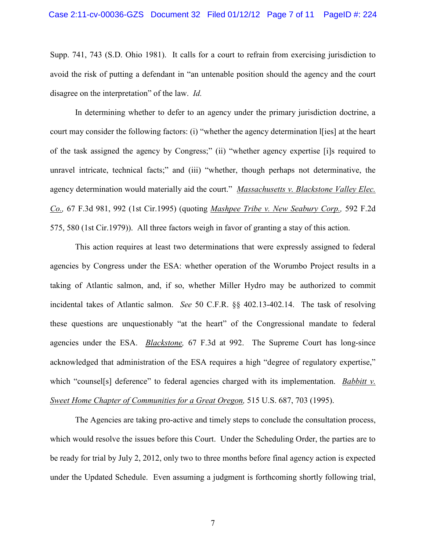Supp. 741, 743 (S.D. Ohio 1981). It calls for a court to refrain from exercising jurisdiction to avoid the risk of putting a defendant in "an untenable position should the agency and the court disagree on the interpretation" of the law. *Id.*

In determining whether to defer to an agency under the primary jurisdiction doctrine, a court may consider the following factors: (i) "whether the agency determination I[ies] at the heart of the task assigned the agency by Congress;" (ii) "whether agency expertise [i]s required to unravel intricate, technical facts;" and (iii) "whether, though perhaps not determinative, the agency determination would materially aid the court." *Massachusetts v. Blackstone Valley Elec. Co.,* 67 F.3d 981, 992 (1st Cir.1995) (quoting *Mashpee Tribe v. New Seabury Corp.,* 592 F.2d 575, 580 (1st Cir.1979)). All three factors weigh in favor of granting a stay of this action.

This action requires at least two determinations that were expressly assigned to federal agencies by Congress under the ESA: whether operation of the Worumbo Project results in a taking of Atlantic salmon, and, if so, whether Miller Hydro may be authorized to commit incidental takes of Atlantic salmon. *See* 50 C.F.R. §§ 402.13-402.14. The task of resolving these questions are unquestionably "at the heart" of the Congressional mandate to federal agencies under the ESA. *Blackstone,* 67 F.3d at 992. The Supreme Court has long-since acknowledged that administration of the ESA requires a high "degree of regulatory expertise," which "counsel<sup>[s]</sup> deference" to federal agencies charged with its implementation. *Babbitt v. Sweet Home Chapter of Communities for a Great Oregon,* 515 U.S. 687, 703 (1995).

The Agencies are taking pro-active and timely steps to conclude the consultation process, which would resolve the issues before this Court. Under the Scheduling Order, the parties are to be ready for trial by July 2, 2012, only two to three months before final agency action is expected under the Updated Schedule. Even assuming a judgment is forthcoming shortly following trial,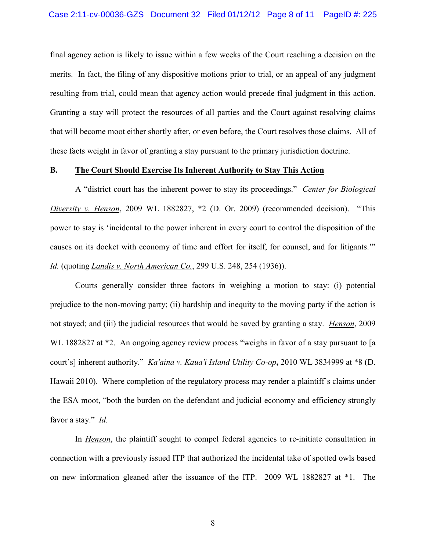final agency action is likely to issue within a few weeks of the Court reaching a decision on the merits. In fact, the filing of any dispositive motions prior to trial, or an appeal of any judgment resulting from trial, could mean that agency action would precede final judgment in this action. Granting a stay will protect the resources of all parties and the Court against resolving claims that will become moot either shortly after, or even before, the Court resolves those claims. All of these facts weight in favor of granting a stay pursuant to the primary jurisdiction doctrine.

### **B. The Court Should Exercise Its Inherent Authority to Stay This Action**

A "district court has the inherent power to stay its proceedings." *Center for Biological Diversity v. Henson*, 2009 WL 1882827, \*2 (D. Or. 2009) (recommended decision). "This power to stay is 'incidental to the power inherent in every court to control the disposition of the causes on its docket with economy of time and effort for itself, for counsel, and for litigants.'" *Id.* (quoting *Landis v. North American Co.*, 299 U.S. 248, 254 (1936)).

Courts generally consider three factors in weighing a motion to stay: (i) potential prejudice to the non-moving party; (ii) hardship and inequity to the moving party if the action is not stayed; and (iii) the judicial resources that would be saved by granting a stay. *Henson*, 2009 WL 1882827 at  $*2$ . An ongoing agency review process "weighs in favor of a stay pursuant to [a] court's] inherent authority." *Ka'aina v. Kaua'i Island Utility Co-op***,** 2010 WL 3834999 at \*8 (D. Hawaii 2010). Where completion of the regulatory process may render a plaintiff's claims under the ESA moot, "both the burden on the defendant and judicial economy and efficiency strongly favor a stay." *Id.* 

In *Henson*, the plaintiff sought to compel federal agencies to re-initiate consultation in connection with a previously issued ITP that authorized the incidental take of spotted owls based on new information gleaned after the issuance of the ITP. 2009 WL 1882827 at \*1. The

8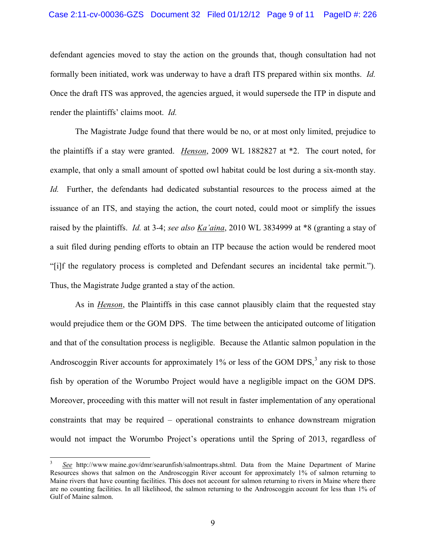### Case 2:11-cv-00036-GZS Document 32 Filed 01/12/12 Page 9 of 11 PageID #: 226

defendant agencies moved to stay the action on the grounds that, though consultation had not formally been initiated, work was underway to have a draft ITS prepared within six months. *Id.* Once the draft ITS was approved, the agencies argued, it would supersede the ITP in dispute and render the plaintiffs' claims moot. *Id.*

The Magistrate Judge found that there would be no, or at most only limited, prejudice to the plaintiffs if a stay were granted. *Henson*, 2009 WL 1882827 at \*2. The court noted, for example, that only a small amount of spotted owl habitat could be lost during a six-month stay. *Id.* Further, the defendants had dedicated substantial resources to the process aimed at the issuance of an ITS, and staying the action, the court noted, could moot or simplify the issues raised by the plaintiffs. *Id.* at 3-4; *see also Ka'aina*, 2010 WL 3834999 at \*8 (granting a stay of a suit filed during pending efforts to obtain an ITP because the action would be rendered moot "[i]f the regulatory process is completed and Defendant secures an incidental take permit."). Thus, the Magistrate Judge granted a stay of the action.

As in *Henson*, the Plaintiffs in this case cannot plausibly claim that the requested stay would prejudice them or the GOM DPS. The time between the anticipated outcome of litigation and that of the consultation process is negligible. Because the Atlantic salmon population in the Androscoggin River accounts for approximately  $1\%$  or less of the GOM DPS, $3$  any risk to those fish by operation of the Worumbo Project would have a negligible impact on the GOM DPS. Moreover, proceeding with this matter will not result in faster implementation of any operational constraints that may be required – operational constraints to enhance downstream migration would not impact the Worumbo Project's operations until the Spring of 2013, regardless of

 $\overline{a}$ 

<sup>3</sup>  *See* http://www maine.gov/dmr/searunfish/salmontraps.shtml. Data from the Maine Department of Marine Resources shows that salmon on the Androscoggin River account for approximately 1% of salmon returning to Maine rivers that have counting facilities. This does not account for salmon returning to rivers in Maine where there are no counting facilities. In all likelihood, the salmon returning to the Androscoggin account for less than 1% of Gulf of Maine salmon.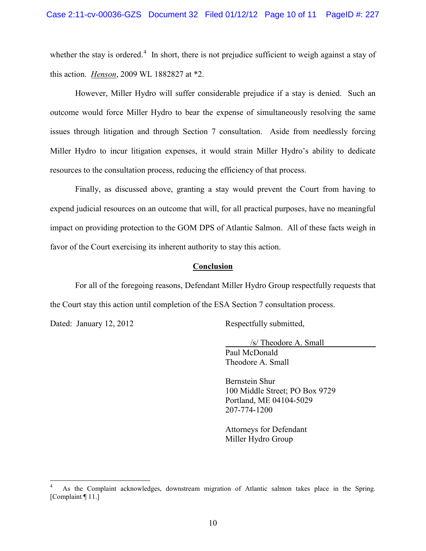whether the stay is ordered.<sup>4</sup> In short, there is not prejudice sufficient to weigh against a stay of this action. *Henson*, 2009 WL 1882827 at \*2.

However, Miller Hydro will suffer considerable prejudice if a stay is denied. Such an outcome would force Miller Hydro to bear the expense of simultaneously resolving the same issues through litigation and through Section 7 consultation. Aside from needlessly forcing Miller Hydro to incur litigation expenses, it would strain Miller Hydro's ability to dedicate resources to the consultation process, reducing the efficiency of that process.

Finally, as discussed above, granting a stay would prevent the Court from having to expend judicial resources on an outcome that will, for all practical purposes, have no meaningful impact on providing protection to the GOM DPS of Atlantic Salmon. All of these facts weigh in favor of the Court exercising its inherent authority to stay this action.

#### **Conclusion**

For all of the foregoing reasons, Defendant Miller Hydro Group respectfully requests that the Court stay this action until completion of the ESA Section 7 consultation process.

Dated: January 12, 2012 Respectfully submitted,

 /s/ Theodore A. Small Paul McDonald Theodore A. Small

Bernstein Shur 100 Middle Street; PO Box 9729 Portland, ME 04104-5029 207-774-1200

Attorneys for Defendant Miller Hydro Group

 <sup>4</sup> As the Complaint acknowledges, downstream migration of Atlantic salmon takes place in the Spring. [Complaint ¶ 11.]